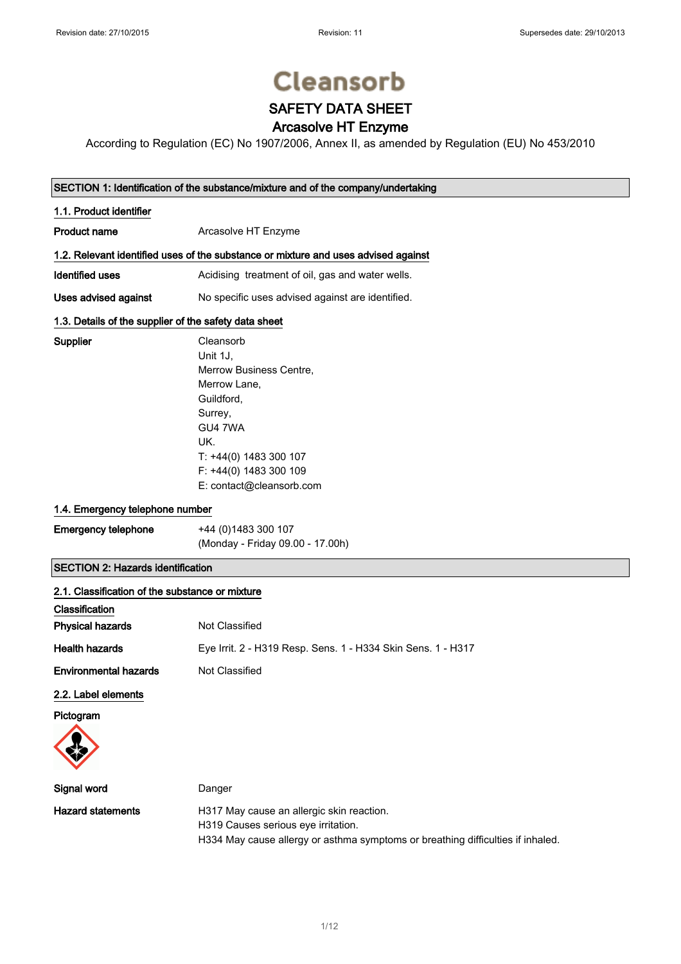Supplier

# **Cleansorb**

## SAFETY DATA SHEET

## Arcasolve HT Enzyme

According to Regulation (EC) No 1907/2006, Annex II, as amended by Regulation (EU) No 453/2010

## SECTION 1: Identification of the substance/mixture and of the company/undertaking

| 1.1. Product identifier                                                            |                                                  |  |
|------------------------------------------------------------------------------------|--------------------------------------------------|--|
| <b>Product name</b>                                                                | Arcasolve HT Enzyme                              |  |
| 1.2. Relevant identified uses of the substance or mixture and uses advised against |                                                  |  |
| Identified uses                                                                    | Acidising treatment of oil, gas and water wells. |  |
| Uses advised against                                                               | No specific uses advised against are identified. |  |

## 1.3. Details of the supplier of the safety data sheet

| Cleansorb                |
|--------------------------|
| Unit 1J.                 |
| Merrow Business Centre,  |
| Merrow Lane,             |
| Guildford,               |
| Surrey,                  |
| GU4 7WA                  |
| UK.                      |
| T: +44(0) 1483 300 107   |
| F: +44(0) 1483 300 109   |
| E: contact@cleansorb.com |

## 1.4. Emergency telephone number

| <b>Emergency telephone</b> | +44 (0)1483 300 107              |
|----------------------------|----------------------------------|
|                            | (Monday - Friday 09.00 - 17.00h) |

## SECTION 2: Hazards identification

| 2.1. Classification of the substance or mixture |                                                              |
|-------------------------------------------------|--------------------------------------------------------------|
| Classification                                  |                                                              |
| Physical hazards                                | Not Classified                                               |
| <b>Health hazards</b>                           | Eye Irrit. 2 - H319 Resp. Sens. 1 - H334 Skin Sens. 1 - H317 |
| <b>Environmental hazards</b>                    | Not Classified                                               |
| 2.2. Label elements                             |                                                              |
| Pictogram                                       |                                                              |
| Signal word                                     | Danger                                                       |
| <b>Hazard statements</b>                        | H317 May cause an allergic skin reaction.                    |

H319 Causes serious eye irritation.

H334 May cause allergy or asthma symptoms or breathing difficulties if inhaled.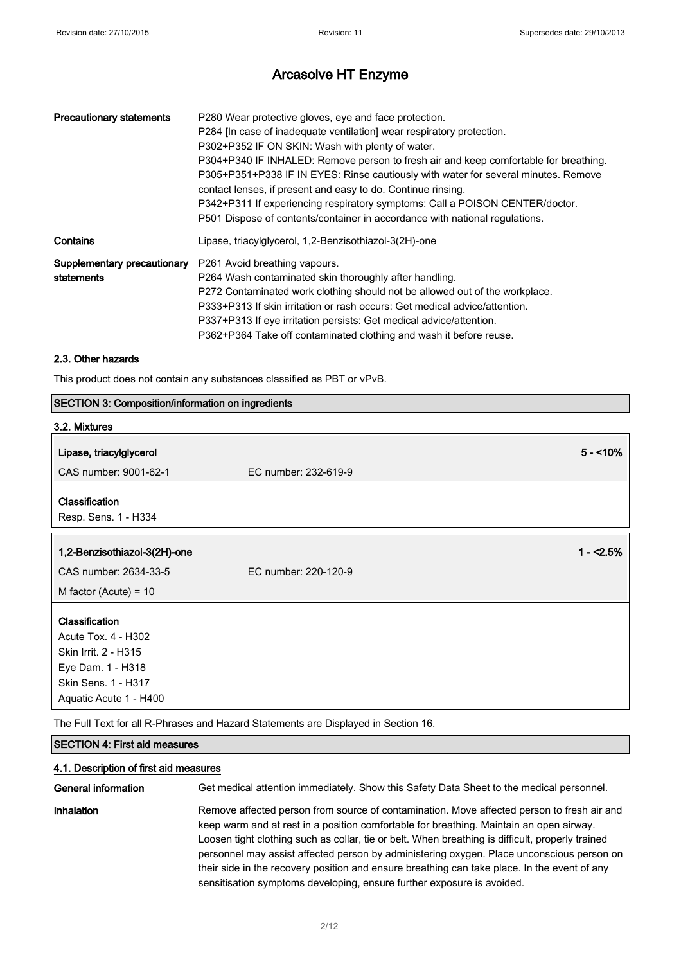| <b>Precautionary statements</b> | P280 Wear protective gloves, eye and face protection.<br>P284 [In case of inadequate ventilation] wear respiratory protection.<br>P302+P352 IF ON SKIN: Wash with plenty of water.<br>P304+P340 IF INHALED: Remove person to fresh air and keep comfortable for breathing.<br>P305+P351+P338 IF IN EYES: Rinse cautiously with water for several minutes. Remove<br>contact lenses, if present and easy to do. Continue rinsing.<br>P342+P311 If experiencing respiratory symptoms: Call a POISON CENTER/doctor.<br>P501 Dispose of contents/container in accordance with national regulations. |
|---------------------------------|-------------------------------------------------------------------------------------------------------------------------------------------------------------------------------------------------------------------------------------------------------------------------------------------------------------------------------------------------------------------------------------------------------------------------------------------------------------------------------------------------------------------------------------------------------------------------------------------------|
| Contains                        | Lipase, triacylglycerol, 1,2-Benzisothiazol-3(2H)-one                                                                                                                                                                                                                                                                                                                                                                                                                                                                                                                                           |
| statements                      | <b>Supplementary precautionary</b> P261 Avoid breathing vapours.<br>P264 Wash contaminated skin thoroughly after handling.<br>P272 Contaminated work clothing should not be allowed out of the workplace.<br>P333+P313 If skin irritation or rash occurs: Get medical advice/attention.<br>P337+P313 If eye irritation persists: Get medical advice/attention.<br>P362+P364 Take off contaminated clothing and wash it before reuse.                                                                                                                                                            |

## 2.3. Other hazards

This product does not contain any substances classified as PBT or vPvB.

## SECTION 3: Composition/information on ingredients

| 3.2. Mixtures                                                                                                                              |                      |
|--------------------------------------------------------------------------------------------------------------------------------------------|----------------------|
| Lipase, triacylglycerol                                                                                                                    | $5 - 10%$            |
| CAS number: 9001-62-1                                                                                                                      | EC number: 232-619-9 |
| Classification<br>Resp. Sens. 1 - H334                                                                                                     |                      |
| 1,2-Benzisothiazol-3(2H)-one                                                                                                               | $1 - 2.5%$           |
| CAS number: 2634-33-5                                                                                                                      | EC number: 220-120-9 |
| M factor (Acute) = $10$                                                                                                                    |                      |
| <b>Classification</b><br>Acute Tox. 4 - H302<br>Skin Irrit. 2 - H315<br>Eye Dam. 1 - H318<br>Skin Sens. 1 - H317<br>Aquatic Acute 1 - H400 |                      |

The Full Text for all R-Phrases and Hazard Statements are Displayed in Section 16.

## SECTION 4: First aid measures

### 4.1. Description of first aid measures

General information Get medical attention immediately. Show this Safety Data Sheet to the medical personnel. Inhalation **Remove affected person from source of contamination**. Move affected person to fresh air and keep warm and at rest in a position comfortable for breathing. Maintain an open airway. Loosen tight clothing such as collar, tie or belt. When breathing is difficult, properly trained personnel may assist affected person by administering oxygen. Place unconscious person on their side in the recovery position and ensure breathing can take place. In the event of any sensitisation symptoms developing, ensure further exposure is avoided.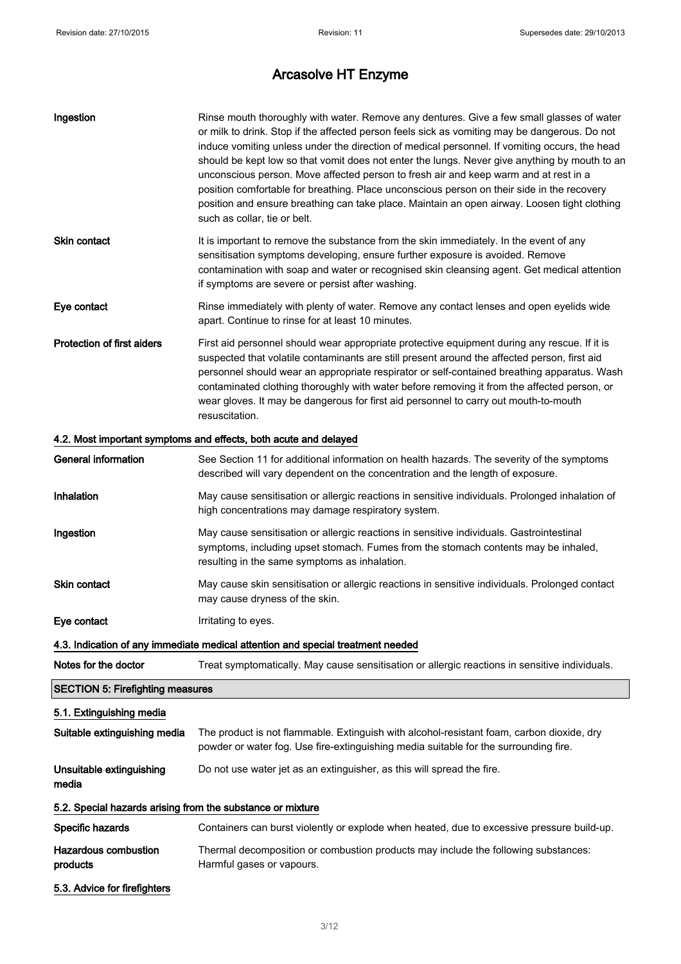| Ingestion                                                  | Rinse mouth thoroughly with water. Remove any dentures. Give a few small glasses of water<br>or milk to drink. Stop if the affected person feels sick as vomiting may be dangerous. Do not<br>induce vomiting unless under the direction of medical personnel. If vomiting occurs, the head<br>should be kept low so that vomit does not enter the lungs. Never give anything by mouth to an<br>unconscious person. Move affected person to fresh air and keep warm and at rest in a<br>position comfortable for breathing. Place unconscious person on their side in the recovery<br>position and ensure breathing can take place. Maintain an open airway. Loosen tight clothing<br>such as collar, tie or belt. |
|------------------------------------------------------------|--------------------------------------------------------------------------------------------------------------------------------------------------------------------------------------------------------------------------------------------------------------------------------------------------------------------------------------------------------------------------------------------------------------------------------------------------------------------------------------------------------------------------------------------------------------------------------------------------------------------------------------------------------------------------------------------------------------------|
| Skin contact                                               | It is important to remove the substance from the skin immediately. In the event of any<br>sensitisation symptoms developing, ensure further exposure is avoided. Remove<br>contamination with soap and water or recognised skin cleansing agent. Get medical attention<br>if symptoms are severe or persist after washing.                                                                                                                                                                                                                                                                                                                                                                                         |
| Eye contact                                                | Rinse immediately with plenty of water. Remove any contact lenses and open eyelids wide<br>apart. Continue to rinse for at least 10 minutes.                                                                                                                                                                                                                                                                                                                                                                                                                                                                                                                                                                       |
| <b>Protection of first aiders</b>                          | First aid personnel should wear appropriate protective equipment during any rescue. If it is<br>suspected that volatile contaminants are still present around the affected person, first aid<br>personnel should wear an appropriate respirator or self-contained breathing apparatus. Wash<br>contaminated clothing thoroughly with water before removing it from the affected person, or<br>wear gloves. It may be dangerous for first aid personnel to carry out mouth-to-mouth<br>resuscitation.                                                                                                                                                                                                               |
|                                                            | 4.2. Most important symptoms and effects, both acute and delayed                                                                                                                                                                                                                                                                                                                                                                                                                                                                                                                                                                                                                                                   |
| General information                                        | See Section 11 for additional information on health hazards. The severity of the symptoms<br>described will vary dependent on the concentration and the length of exposure.                                                                                                                                                                                                                                                                                                                                                                                                                                                                                                                                        |
| Inhalation                                                 | May cause sensitisation or allergic reactions in sensitive individuals. Prolonged inhalation of<br>high concentrations may damage respiratory system.                                                                                                                                                                                                                                                                                                                                                                                                                                                                                                                                                              |
| Ingestion                                                  | May cause sensitisation or allergic reactions in sensitive individuals. Gastrointestinal<br>symptoms, including upset stomach. Fumes from the stomach contents may be inhaled,<br>resulting in the same symptoms as inhalation.                                                                                                                                                                                                                                                                                                                                                                                                                                                                                    |
| Skin contact                                               | May cause skin sensitisation or allergic reactions in sensitive individuals. Prolonged contact<br>may cause dryness of the skin.                                                                                                                                                                                                                                                                                                                                                                                                                                                                                                                                                                                   |
| Eye contact                                                | Irritating to eyes.                                                                                                                                                                                                                                                                                                                                                                                                                                                                                                                                                                                                                                                                                                |
|                                                            | 4.3. Indication of any immediate medical attention and special treatment needed                                                                                                                                                                                                                                                                                                                                                                                                                                                                                                                                                                                                                                    |
| Notes for the doctor                                       | Treat symptomatically. May cause sensitisation or allergic reactions in sensitive individuals.                                                                                                                                                                                                                                                                                                                                                                                                                                                                                                                                                                                                                     |
| <b>SECTION 5: Firefighting measures</b>                    |                                                                                                                                                                                                                                                                                                                                                                                                                                                                                                                                                                                                                                                                                                                    |
| 5.1. Extinguishing media                                   |                                                                                                                                                                                                                                                                                                                                                                                                                                                                                                                                                                                                                                                                                                                    |
| Suitable extinguishing media                               | The product is not flammable. Extinguish with alcohol-resistant foam, carbon dioxide, dry<br>powder or water fog. Use fire-extinguishing media suitable for the surrounding fire.                                                                                                                                                                                                                                                                                                                                                                                                                                                                                                                                  |
| Unsuitable extinguishing<br>media                          | Do not use water jet as an extinguisher, as this will spread the fire.                                                                                                                                                                                                                                                                                                                                                                                                                                                                                                                                                                                                                                             |
| 5.2. Special hazards arising from the substance or mixture |                                                                                                                                                                                                                                                                                                                                                                                                                                                                                                                                                                                                                                                                                                                    |
| Specific hazards                                           | Containers can burst violently or explode when heated, due to excessive pressure build-up.                                                                                                                                                                                                                                                                                                                                                                                                                                                                                                                                                                                                                         |
| <b>Hazardous combustion</b><br>products                    | Thermal decomposition or combustion products may include the following substances:<br>Harmful gases or vapours.                                                                                                                                                                                                                                                                                                                                                                                                                                                                                                                                                                                                    |
| 5.3. Advice for firefighters                               |                                                                                                                                                                                                                                                                                                                                                                                                                                                                                                                                                                                                                                                                                                                    |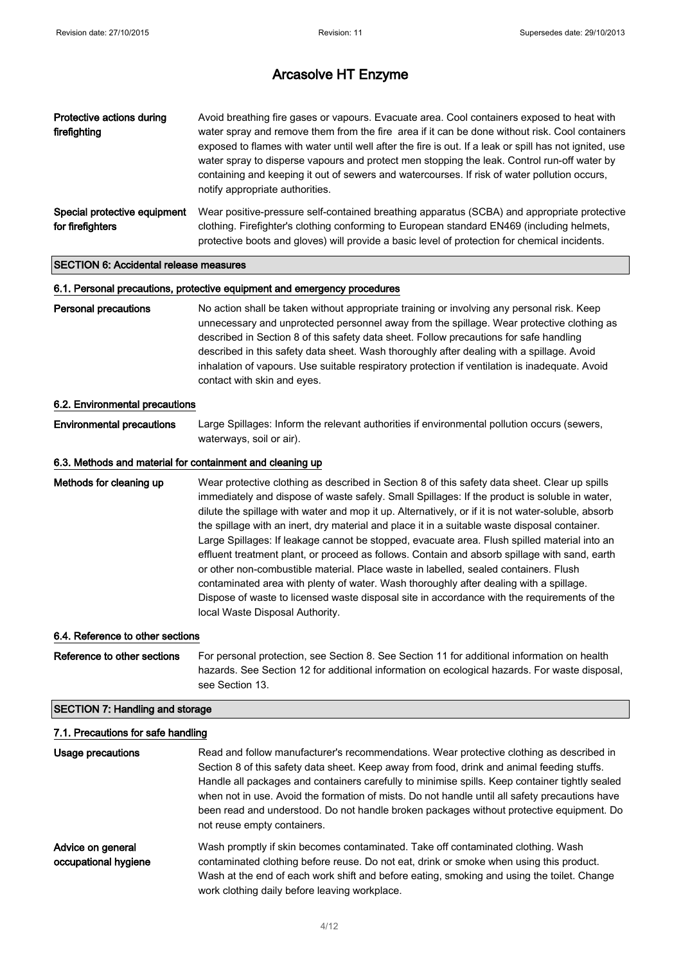| Protective actions during<br>firefighting        | Avoid breathing fire gases or vapours. Evacuate area. Cool containers exposed to heat with<br>water spray and remove them from the fire area if it can be done without risk. Cool containers<br>exposed to flames with water until well after the fire is out. If a leak or spill has not ignited, use<br>water spray to disperse vapours and protect men stopping the leak. Control run-off water by<br>containing and keeping it out of sewers and watercourses. If risk of water pollution occurs,<br>notify appropriate authorities. |
|--------------------------------------------------|------------------------------------------------------------------------------------------------------------------------------------------------------------------------------------------------------------------------------------------------------------------------------------------------------------------------------------------------------------------------------------------------------------------------------------------------------------------------------------------------------------------------------------------|
| Special protective equipment<br>for firefighters | Wear positive-pressure self-contained breathing apparatus (SCBA) and appropriate protective<br>clothing. Firefighter's clothing conforming to European standard EN469 (including helmets,<br>protective boots and gloves) will provide a basic level of protection for chemical incidents.                                                                                                                                                                                                                                               |

## SECTION 6: Accidental release measures

#### 6.1. Personal precautions, protective equipment and emergency procedures

Personal precautions No action shall be taken without appropriate training or involving any personal risk. Keep unnecessary and unprotected personnel away from the spillage. Wear protective clothing as described in Section 8 of this safety data sheet. Follow precautions for safe handling described in this safety data sheet. Wash thoroughly after dealing with a spillage. Avoid inhalation of vapours. Use suitable respiratory protection if ventilation is inadequate. Avoid contact with skin and eyes.

#### 6.2. Environmental precautions

Environmental precautions Large Spillages: Inform the relevant authorities if environmental pollution occurs (sewers, waterways, soil or air).

#### 6.3. Methods and material for containment and cleaning up

Methods for cleaning up Wear protective clothing as described in Section 8 of this safety data sheet. Clear up spills immediately and dispose of waste safely. Small Spillages: If the product is soluble in water, dilute the spillage with water and mop it up. Alternatively, or if it is not water-soluble, absorb the spillage with an inert, dry material and place it in a suitable waste disposal container. Large Spillages: If leakage cannot be stopped, evacuate area. Flush spilled material into an effluent treatment plant, or proceed as follows. Contain and absorb spillage with sand, earth or other non-combustible material. Place waste in labelled, sealed containers. Flush contaminated area with plenty of water. Wash thoroughly after dealing with a spillage. Dispose of waste to licensed waste disposal site in accordance with the requirements of the local Waste Disposal Authority.

#### 6.4. Reference to other sections

Reference to other sections For personal protection, see Section 8. See Section 11 for additional information on health hazards. See Section 12 for additional information on ecological hazards. For waste disposal, see Section 13.

#### SECTION 7: Handling and storage

| 7.1. Precautions for safe handling        |                                                                                                                                                                                                                                                                                                                                                                                                                                                                                                                       |  |
|-------------------------------------------|-----------------------------------------------------------------------------------------------------------------------------------------------------------------------------------------------------------------------------------------------------------------------------------------------------------------------------------------------------------------------------------------------------------------------------------------------------------------------------------------------------------------------|--|
| Usage precautions                         | Read and follow manufacturer's recommendations. Wear protective clothing as described in<br>Section 8 of this safety data sheet. Keep away from food, drink and animal feeding stuffs.<br>Handle all packages and containers carefully to minimise spills. Keep container tightly sealed<br>when not in use. Avoid the formation of mists. Do not handle until all safety precautions have<br>been read and understood. Do not handle broken packages without protective equipment. Do<br>not reuse empty containers. |  |
| Advice on general<br>occupational hygiene | Wash promptly if skin becomes contaminated. Take off contaminated clothing. Wash<br>contaminated clothing before reuse. Do not eat, drink or smoke when using this product.<br>Wash at the end of each work shift and before eating, smoking and using the toilet. Change<br>work clothing daily before leaving workplace.                                                                                                                                                                                            |  |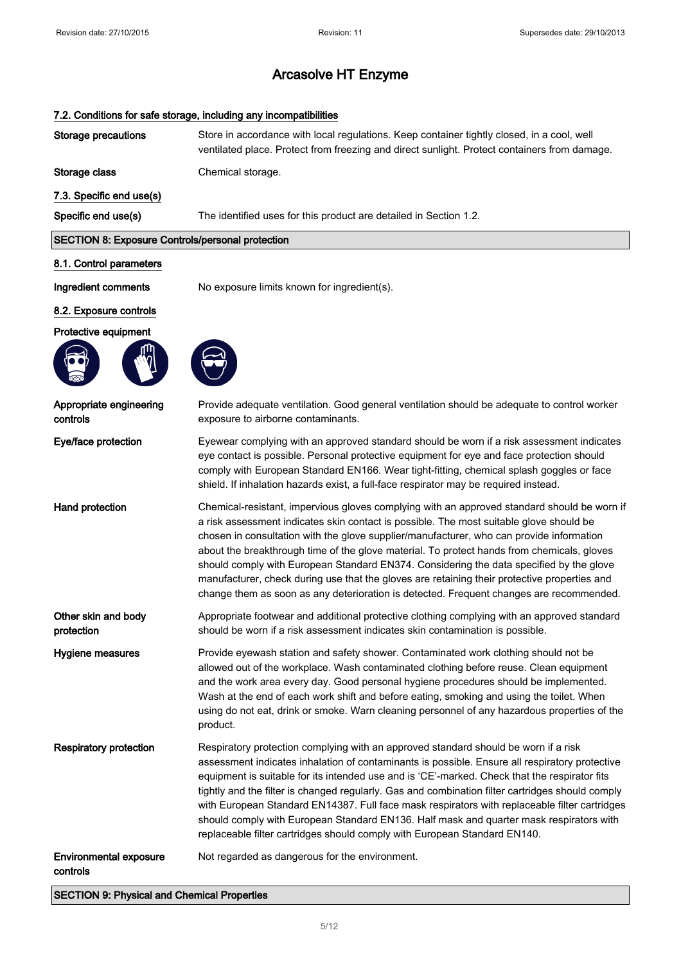|                                                         | 7.2. Conditions for safe storage, including any incompatibilities                                                                                                                                                                                                                                                                                                                                                                                                                                                                                                                                                                                                      |
|---------------------------------------------------------|------------------------------------------------------------------------------------------------------------------------------------------------------------------------------------------------------------------------------------------------------------------------------------------------------------------------------------------------------------------------------------------------------------------------------------------------------------------------------------------------------------------------------------------------------------------------------------------------------------------------------------------------------------------------|
| <b>Storage precautions</b>                              | Store in accordance with local regulations. Keep container tightly closed, in a cool, well<br>ventilated place. Protect from freezing and direct sunlight. Protect containers from damage.                                                                                                                                                                                                                                                                                                                                                                                                                                                                             |
| Storage class                                           | Chemical storage.                                                                                                                                                                                                                                                                                                                                                                                                                                                                                                                                                                                                                                                      |
| 7.3. Specific end use(s)                                |                                                                                                                                                                                                                                                                                                                                                                                                                                                                                                                                                                                                                                                                        |
| Specific end use(s)                                     | The identified uses for this product are detailed in Section 1.2.                                                                                                                                                                                                                                                                                                                                                                                                                                                                                                                                                                                                      |
| <b>SECTION 8: Exposure Controls/personal protection</b> |                                                                                                                                                                                                                                                                                                                                                                                                                                                                                                                                                                                                                                                                        |
| 8.1. Control parameters                                 |                                                                                                                                                                                                                                                                                                                                                                                                                                                                                                                                                                                                                                                                        |
| Ingredient comments                                     | No exposure limits known for ingredient(s).                                                                                                                                                                                                                                                                                                                                                                                                                                                                                                                                                                                                                            |
| 8.2. Exposure controls                                  |                                                                                                                                                                                                                                                                                                                                                                                                                                                                                                                                                                                                                                                                        |
| Protective equipment                                    |                                                                                                                                                                                                                                                                                                                                                                                                                                                                                                                                                                                                                                                                        |
|                                                         |                                                                                                                                                                                                                                                                                                                                                                                                                                                                                                                                                                                                                                                                        |
| Appropriate engineering<br>controls                     | Provide adequate ventilation. Good general ventilation should be adequate to control worker<br>exposure to airborne contaminants.                                                                                                                                                                                                                                                                                                                                                                                                                                                                                                                                      |
| Eye/face protection                                     | Eyewear complying with an approved standard should be worn if a risk assessment indicates<br>eye contact is possible. Personal protective equipment for eye and face protection should<br>comply with European Standard EN166. Wear tight-fitting, chemical splash goggles or face<br>shield. If inhalation hazards exist, a full-face respirator may be required instead.                                                                                                                                                                                                                                                                                             |
| Hand protection                                         | Chemical-resistant, impervious gloves complying with an approved standard should be worn if<br>a risk assessment indicates skin contact is possible. The most suitable glove should be<br>chosen in consultation with the glove supplier/manufacturer, who can provide information<br>about the breakthrough time of the glove material. To protect hands from chemicals, gloves<br>should comply with European Standard EN374. Considering the data specified by the glove<br>manufacturer, check during use that the gloves are retaining their protective properties and<br>change them as soon as any deterioration is detected. Frequent changes are recommended. |
| Other skin and body<br>protection                       | Appropriate footwear and additional protective clothing complying with an approved standard<br>should be worn if a risk assessment indicates skin contamination is possible.                                                                                                                                                                                                                                                                                                                                                                                                                                                                                           |
| Hygiene measures                                        | Provide eyewash station and safety shower. Contaminated work clothing should not be<br>allowed out of the workplace. Wash contaminated clothing before reuse. Clean equipment<br>and the work area every day. Good personal hygiene procedures should be implemented.<br>Wash at the end of each work shift and before eating, smoking and using the toilet. When<br>using do not eat, drink or smoke. Warn cleaning personnel of any hazardous properties of the<br>product.                                                                                                                                                                                          |
| <b>Respiratory protection</b>                           | Respiratory protection complying with an approved standard should be worn if a risk<br>assessment indicates inhalation of contaminants is possible. Ensure all respiratory protective<br>equipment is suitable for its intended use and is 'CE'-marked. Check that the respirator fits<br>tightly and the filter is changed regularly. Gas and combination filter cartridges should comply<br>with European Standard EN14387. Full face mask respirators with replaceable filter cartridges<br>should comply with European Standard EN136. Half mask and quarter mask respirators with<br>replaceable filter cartridges should comply with European Standard EN140.    |
| <b>Environmental exposure</b><br>controls               | Not regarded as dangerous for the environment.                                                                                                                                                                                                                                                                                                                                                                                                                                                                                                                                                                                                                         |

#### 7.2. Conditions for safe storage, including any incompatibilities

SECTION 9: Physical and Chemical Properties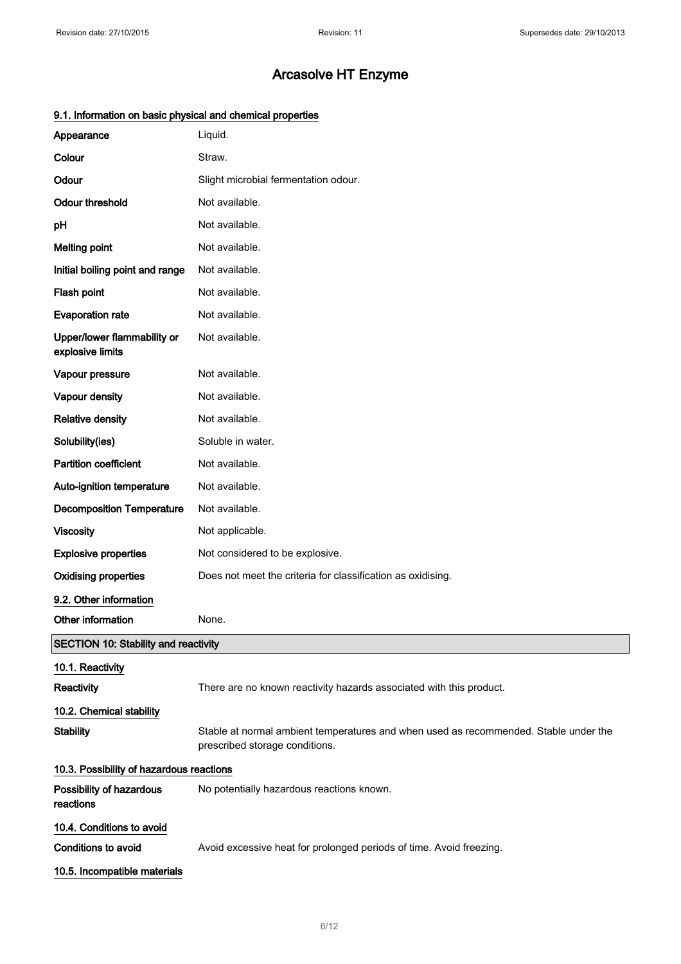| Appearance                                      | Liquid.                                                                                                                |
|-------------------------------------------------|------------------------------------------------------------------------------------------------------------------------|
| Colour                                          | Straw.                                                                                                                 |
| Odour                                           | Slight microbial fermentation odour.                                                                                   |
| <b>Odour threshold</b>                          | Not available.                                                                                                         |
| pH                                              | Not available.                                                                                                         |
| <b>Melting point</b>                            | Not available.                                                                                                         |
| Initial boiling point and range                 | Not available.                                                                                                         |
| Flash point                                     | Not available.                                                                                                         |
| <b>Evaporation rate</b>                         | Not available.                                                                                                         |
| Upper/lower flammability or<br>explosive limits | Not available.                                                                                                         |
| Vapour pressure                                 | Not available.                                                                                                         |
| Vapour density                                  | Not available.                                                                                                         |
| <b>Relative density</b>                         | Not available.                                                                                                         |
| Solubility(ies)                                 | Soluble in water.                                                                                                      |
| <b>Partition coefficient</b>                    | Not available.                                                                                                         |
| Auto-ignition temperature                       | Not available.                                                                                                         |
| <b>Decomposition Temperature</b>                | Not available.                                                                                                         |
| <b>Viscosity</b>                                | Not applicable.                                                                                                        |
| <b>Explosive properties</b>                     | Not considered to be explosive.                                                                                        |
| <b>Oxidising properties</b>                     | Does not meet the criteria for classification as oxidising.                                                            |
| 9.2. Other information                          |                                                                                                                        |
| Other information                               | None.                                                                                                                  |
| <b>SECTION 10: Stability and reactivity</b>     |                                                                                                                        |
| 10.1. Reactivity                                |                                                                                                                        |
| Reactivity                                      | There are no known reactivity hazards associated with this product.                                                    |
| 10.2. Chemical stability                        |                                                                                                                        |
| <b>Stability</b>                                | Stable at normal ambient temperatures and when used as recommended. Stable under the<br>prescribed storage conditions. |
| 10.3. Possibility of hazardous reactions        |                                                                                                                        |
| Possibility of hazardous<br>reactions           | No potentially hazardous reactions known.                                                                              |
| 10.4. Conditions to avoid                       |                                                                                                                        |
| <b>Conditions to avoid</b>                      | Avoid excessive heat for prolonged periods of time. Avoid freezing.                                                    |
| 10.5. Incompatible materials                    |                                                                                                                        |
|                                                 |                                                                                                                        |

## 9.1. Information on basic physical and chemical properties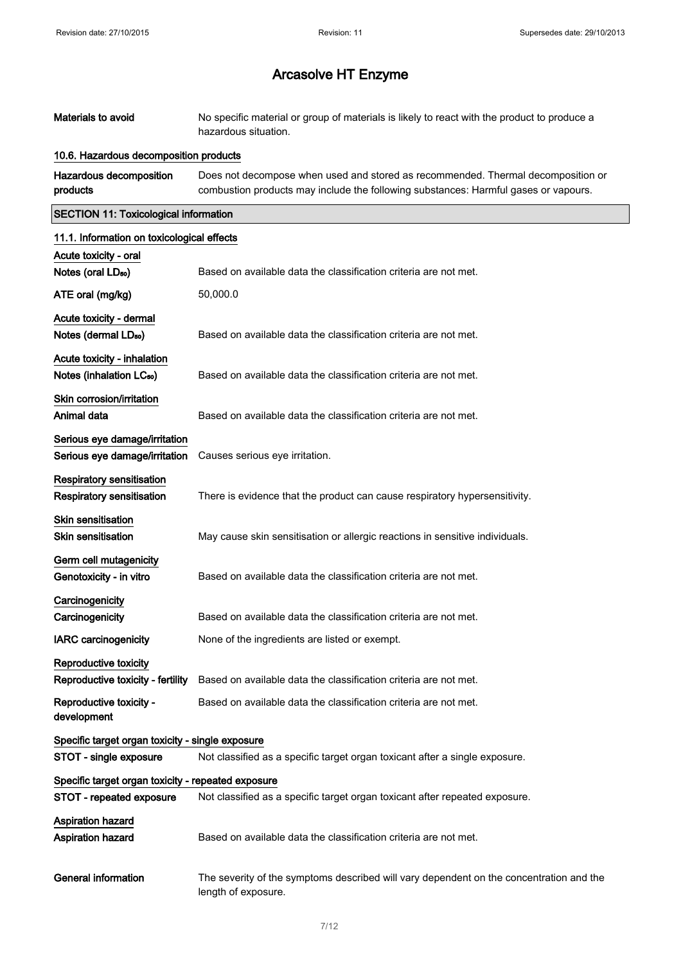Materials to avoid No specific material or group of materials is likely to react with the product to produce a

|                                                      | hazardous situation.                                                                                                                                                    |
|------------------------------------------------------|-------------------------------------------------------------------------------------------------------------------------------------------------------------------------|
| 10.6. Hazardous decomposition products               |                                                                                                                                                                         |
| Hazardous decomposition<br>products                  | Does not decompose when used and stored as recommended. Thermal decomposition or<br>combustion products may include the following substances: Harmful gases or vapours. |
| <b>SECTION 11: Toxicological information</b>         |                                                                                                                                                                         |
| 11.1. Information on toxicological effects           |                                                                                                                                                                         |
| Acute toxicity - oral                                |                                                                                                                                                                         |
| Notes (oral LD <sub>50</sub> )                       | Based on available data the classification criteria are not met.                                                                                                        |
| ATE oral (mg/kg)                                     | 50,000.0                                                                                                                                                                |
| Acute toxicity - dermal                              |                                                                                                                                                                         |
| Notes (dermal LD <sub>50</sub> )                     | Based on available data the classification criteria are not met.                                                                                                        |
| Acute toxicity - inhalation                          |                                                                                                                                                                         |
| Notes (inhalation LC <sub>50</sub> )                 | Based on available data the classification criteria are not met.                                                                                                        |
| Skin corrosion/irritation                            |                                                                                                                                                                         |
| Animal data                                          | Based on available data the classification criteria are not met.                                                                                                        |
| Serious eye damage/irritation                        |                                                                                                                                                                         |
| Serious eye damage/irritation                        | Causes serious eye irritation.                                                                                                                                          |
| <b>Respiratory sensitisation</b>                     |                                                                                                                                                                         |
| <b>Respiratory sensitisation</b>                     | There is evidence that the product can cause respiratory hypersensitivity.                                                                                              |
| <b>Skin sensitisation</b>                            |                                                                                                                                                                         |
| <b>Skin sensitisation</b>                            | May cause skin sensitisation or allergic reactions in sensitive individuals.                                                                                            |
| Germ cell mutagenicity                               |                                                                                                                                                                         |
| Genotoxicity - in vitro                              | Based on available data the classification criteria are not met.                                                                                                        |
| Carcinogenicity                                      |                                                                                                                                                                         |
| Carcinogenicity                                      | Based on available data the classification criteria are not met.                                                                                                        |
| <b>IARC carcinogenicity</b>                          | None of the ingredients are listed or exempt.                                                                                                                           |
| Reproductive toxicity                                |                                                                                                                                                                         |
|                                                      | Reproductive toxicity - fertility Based on available data the classification criteria are not met.                                                                      |
| Reproductive toxicity -<br>development               | Based on available data the classification criteria are not met.                                                                                                        |
| Specific target organ toxicity - single exposure     |                                                                                                                                                                         |
| STOT - single exposure                               | Not classified as a specific target organ toxicant after a single exposure.                                                                                             |
| Specific target organ toxicity - repeated exposure   |                                                                                                                                                                         |
| STOT - repeated exposure                             | Not classified as a specific target organ toxicant after repeated exposure.                                                                                             |
| <b>Aspiration hazard</b><br><b>Aspiration hazard</b> | Based on available data the classification criteria are not met.                                                                                                        |
| <b>General information</b>                           | The severity of the symptoms described will vary dependent on the concentration and the<br>length of exposure.                                                          |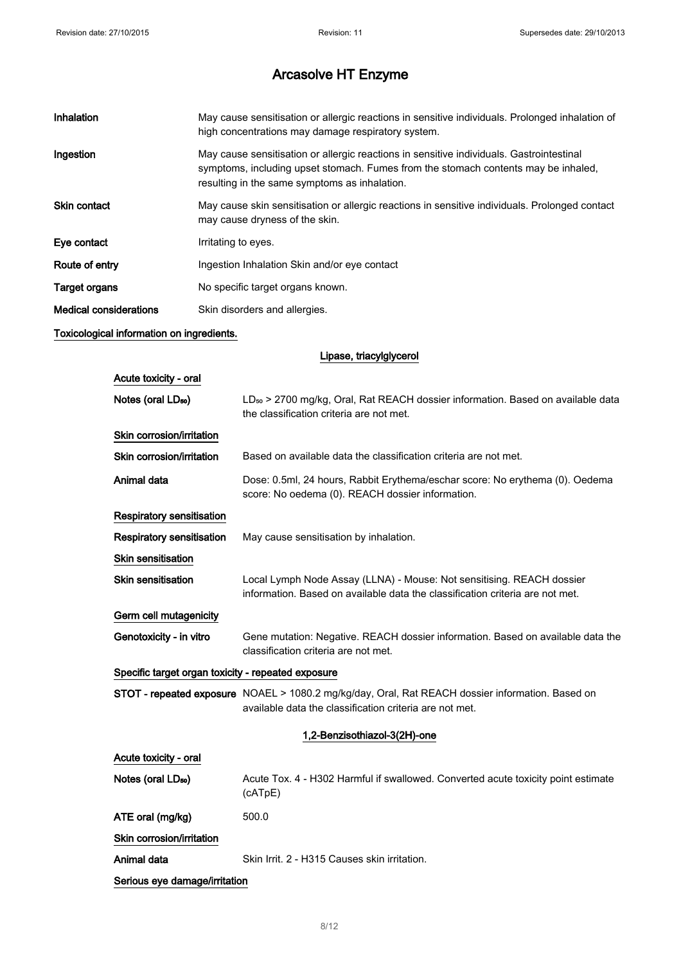| Inhalation                    | May cause sensitisation or allergic reactions in sensitive individuals. Prolonged inhalation of<br>high concentrations may damage respiratory system.                                                                           |
|-------------------------------|---------------------------------------------------------------------------------------------------------------------------------------------------------------------------------------------------------------------------------|
| Ingestion                     | May cause sensitisation or allergic reactions in sensitive individuals. Gastrointestinal<br>symptoms, including upset stomach. Fumes from the stomach contents may be inhaled,<br>resulting in the same symptoms as inhalation. |
| <b>Skin contact</b>           | May cause skin sensitisation or allergic reactions in sensitive individuals. Prolonged contact<br>may cause dryness of the skin.                                                                                                |
| Eye contact                   | Irritating to eyes.                                                                                                                                                                                                             |
| Route of entry                | Ingestion Inhalation Skin and/or eye contact                                                                                                                                                                                    |
| <b>Target organs</b>          | No specific target organs known.                                                                                                                                                                                                |
| <b>Medical considerations</b> | Skin disorders and allergies.                                                                                                                                                                                                   |

## Toxicological information on ingredients.

Lipase, triacylglycerol

| Acute toxicity - oral                              |                                                                                                                                                             |  |
|----------------------------------------------------|-------------------------------------------------------------------------------------------------------------------------------------------------------------|--|
| Notes (oral LD <sub>50</sub> )                     | LD <sub>so</sub> > 2700 mg/kg, Oral, Rat REACH dossier information. Based on available data<br>the classification criteria are not met.                     |  |
| Skin corrosion/irritation                          |                                                                                                                                                             |  |
| Skin corrosion/irritation                          | Based on available data the classification criteria are not met.                                                                                            |  |
| Animal data                                        | Dose: 0.5ml, 24 hours, Rabbit Erythema/eschar score: No erythema (0). Oedema<br>score: No oedema (0). REACH dossier information.                            |  |
| <b>Respiratory sensitisation</b>                   |                                                                                                                                                             |  |
| <b>Respiratory sensitisation</b>                   | May cause sensitisation by inhalation.                                                                                                                      |  |
| <b>Skin sensitisation</b>                          |                                                                                                                                                             |  |
| <b>Skin sensitisation</b>                          | Local Lymph Node Assay (LLNA) - Mouse: Not sensitising. REACH dossier<br>information. Based on available data the classification criteria are not met.      |  |
| Germ cell mutagenicity                             |                                                                                                                                                             |  |
| Genotoxicity - in vitro                            | Gene mutation: Negative. REACH dossier information. Based on available data the<br>classification criteria are not met.                                     |  |
| Specific target organ toxicity - repeated exposure |                                                                                                                                                             |  |
|                                                    | STOT - repeated exposure NOAEL > 1080.2 mg/kg/day, Oral, Rat REACH dossier information. Based on<br>available data the classification criteria are not met. |  |
|                                                    | 1,2-Benzisothiazol-3(2H)-one                                                                                                                                |  |
| Acute toxicity - oral                              |                                                                                                                                                             |  |
| Notes (oral LD <sub>50</sub> )                     | Acute Tox. 4 - H302 Harmful if swallowed. Converted acute toxicity point estimate<br>(cATpE)                                                                |  |
| ATE oral (mg/kg)                                   | 500.0                                                                                                                                                       |  |
| Skin corrosion/irritation                          |                                                                                                                                                             |  |
| Animal data                                        | Skin Irrit. 2 - H315 Causes skin irritation.                                                                                                                |  |
| Serious eye damage/irritation                      |                                                                                                                                                             |  |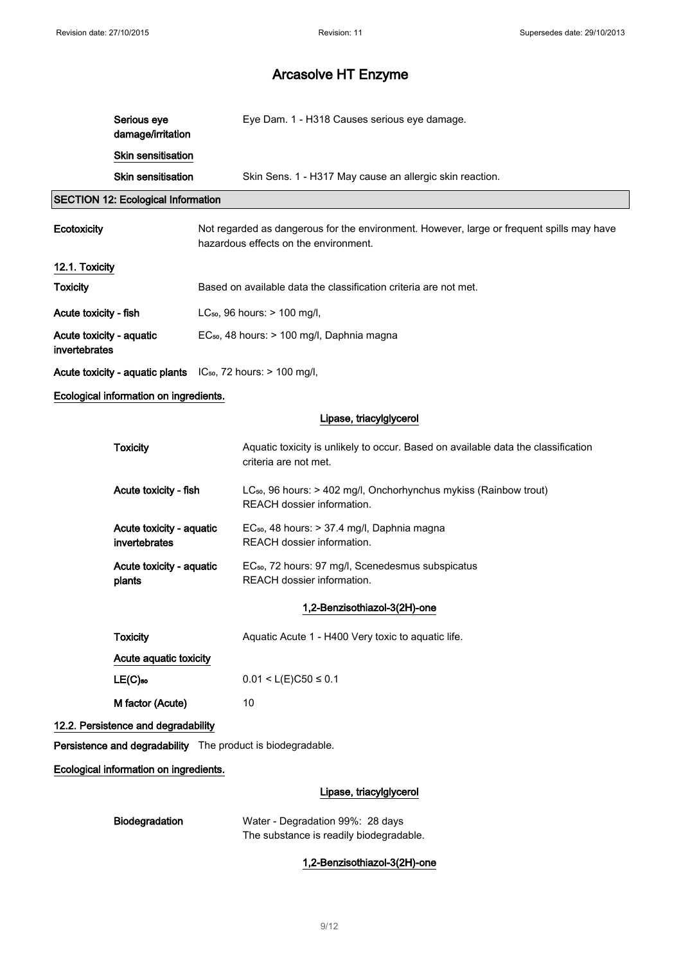| Serious eye<br>damage/irritation | Eye Dam. 1 - H318 Causes serious eye damage.             |
|----------------------------------|----------------------------------------------------------|
| <b>Skin sensitisation</b>        |                                                          |
| <b>Skin sensitisation</b>        | Skin Sens. 1 - H317 May cause an allergic skin reaction. |

## SECTION 12: Ecological Information

| <b>Ecotoxicity</b>                                                | Not regarded as dangerous for the environment. However, large or frequent spills may have<br>hazardous effects on the environment. |
|-------------------------------------------------------------------|------------------------------------------------------------------------------------------------------------------------------------|
| 12.1. Toxicity                                                    |                                                                                                                                    |
| <b>Toxicity</b>                                                   | Based on available data the classification criteria are not met.                                                                   |
| Acute toxicity - fish                                             | $LC_{50}$ , 96 hours: $> 100$ mg/l,                                                                                                |
| Acute toxicity - aquatic<br>invertebrates                         | $EC_{50}$ , 48 hours: $> 100$ mg/l, Daphnia magna                                                                                  |
| Acute toxicity - aquatic plants $IC_{50}$ , 72 hours: > 100 mg/l, |                                                                                                                                    |

## Ecological information on ingredients.

## Lipase, triacylglycerol

| <b>Toxicity</b>                           | Aquatic toxicity is unlikely to occur. Based on available data the classification<br>criteria are not met. |
|-------------------------------------------|------------------------------------------------------------------------------------------------------------|
| Acute toxicity - fish                     | $LC_{50}$ , 96 hours: > 402 mg/l, Onchorhynchus mykiss (Rainbow trout)<br>REACH dossier information.       |
| Acute toxicity - aquatic<br>invertebrates | $EC_{50}$ , 48 hours: $> 37.4$ mg/l, Daphnia magna<br>REACH dossier information.                           |
| Acute toxicity - aquatic<br>plants        | EC <sub>50</sub> , 72 hours: 97 mg/l, Scenedesmus subspicatus<br>REACH dossier information.                |
|                                           |                                                                                                            |

## 1,2-Benzisothiazol-3(2H)-one

| Toxicity               | Aquatic Acute 1 - H400 Very toxic to aquatic life. |
|------------------------|----------------------------------------------------|
| Acute aguatic toxicity |                                                    |
| $LE(C)_{50}$           | $0.01 < L(E)C50 \le 0.1$                           |
| M factor (Acute)       | 10                                                 |

## 12.2. Persistence and degradability

Persistence and degradability The product is biodegradable.

Ecological information on ingredients.

## Lipase, triacylglycerol

| <b>Biodegradation</b> |
|-----------------------|
|-----------------------|

Water - Degradation 99%: 28 days The substance is readily biodegradable.

1,2-Benzisothiazol-3(2H)-one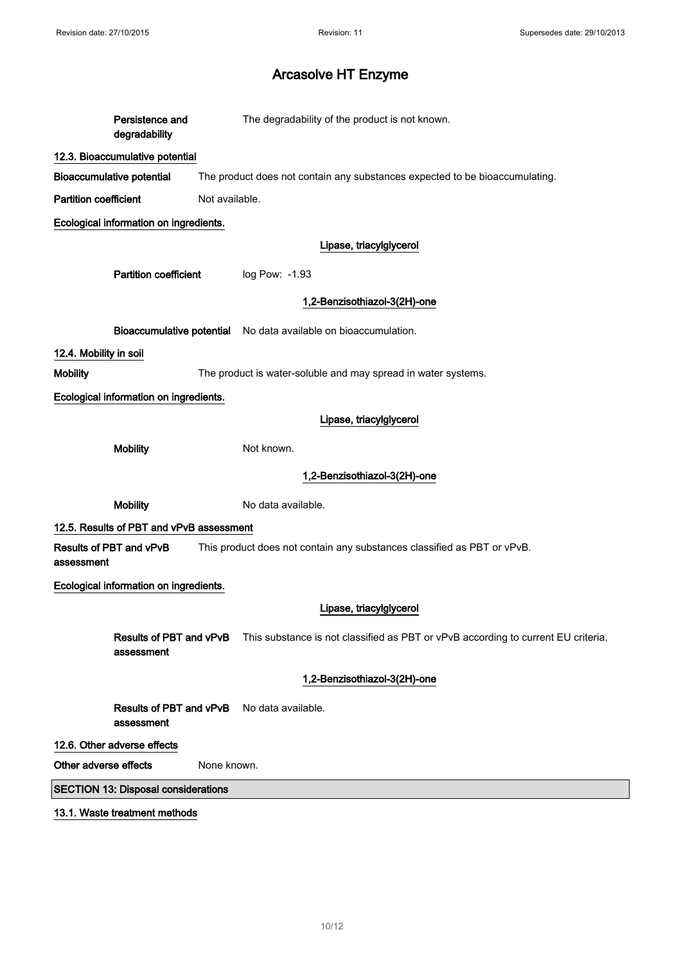| Persistence and<br>degradability           | The degradability of the product is not known.                                    |
|--------------------------------------------|-----------------------------------------------------------------------------------|
| 12.3. Bioaccumulative potential            |                                                                                   |
| <b>Bioaccumulative potential</b>           | The product does not contain any substances expected to be bioaccumulating.       |
| <b>Partition coefficient</b>               | Not available.                                                                    |
| Ecological information on ingredients.     |                                                                                   |
|                                            | Lipase, triacylglycerol                                                           |
| <b>Partition coefficient</b>               | log Pow: -1.93                                                                    |
|                                            | 1,2-Benzisothiazol-3(2H)-one                                                      |
| <b>Bioaccumulative potential</b>           | No data available on bioaccumulation.                                             |
| 12.4. Mobility in soil                     |                                                                                   |
| <b>Mobility</b>                            | The product is water-soluble and may spread in water systems.                     |
| Ecological information on ingredients.     |                                                                                   |
|                                            | Lipase, triacylglycerol                                                           |
| <b>Mobility</b>                            | Not known.                                                                        |
|                                            | 1,2-Benzisothiazol-3(2H)-one                                                      |
| <b>Mobility</b>                            | No data available.                                                                |
| 12.5. Results of PBT and vPvB assessment   |                                                                                   |
| Results of PBT and vPvB                    |                                                                                   |
| assessment                                 | This product does not contain any substances classified as PBT or vPvB.           |
| Ecological information on ingredients.     |                                                                                   |
|                                            | Lipase, triacylglycerol                                                           |
| Results of PBT and vPvB<br>assessment      | This substance is not classified as PBT or vPvB according to current EU criteria. |
|                                            | 1,2-Benzisothiazol-3(2H)-one                                                      |
| Results of PBT and vPvB<br>assessment      | No data available.                                                                |
| 12.6. Other adverse effects                |                                                                                   |
| Other adverse effects                      | None known.                                                                       |
| <b>SECTION 13: Disposal considerations</b> |                                                                                   |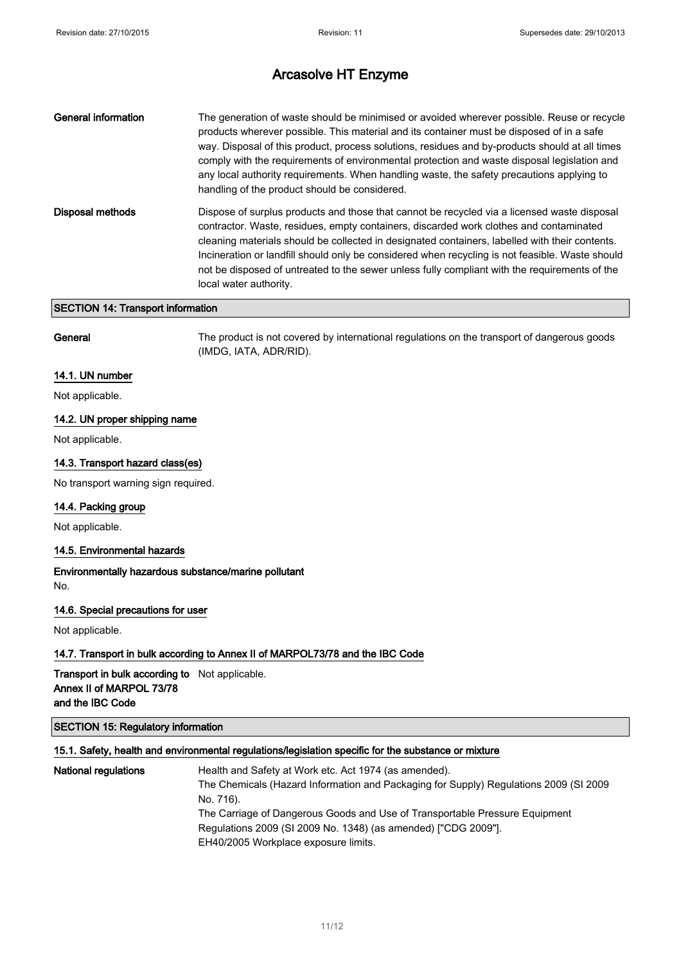| <b>Disposal methods</b><br>contractor. Waste, residues, empty containers, discarded work clothes and contaminated<br>local water authority. | <b>General information</b> | The generation of waste should be minimised or avoided wherever possible. Reuse or recycle<br>products wherever possible. This material and its container must be disposed of in a safe<br>way. Disposal of this product, process solutions, residues and by-products should at all times<br>comply with the requirements of environmental protection and waste disposal legislation and<br>any local authority requirements. When handling waste, the safety precautions applying to<br>handling of the product should be considered. |
|---------------------------------------------------------------------------------------------------------------------------------------------|----------------------------|----------------------------------------------------------------------------------------------------------------------------------------------------------------------------------------------------------------------------------------------------------------------------------------------------------------------------------------------------------------------------------------------------------------------------------------------------------------------------------------------------------------------------------------|
|                                                                                                                                             |                            | Dispose of surplus products and those that cannot be recycled via a licensed waste disposal<br>cleaning materials should be collected in designated containers, labelled with their contents.<br>Incineration or landfill should only be considered when recycling is not feasible. Waste should<br>not be disposed of untreated to the sewer unless fully compliant with the requirements of the                                                                                                                                      |

## SECTION 14: Transport information

General The product is not covered by international regulations on the transport of dangerous goods (IMDG, IATA, ADR/RID).

## 14.1. UN number

Not applicable.

## 14.2. UN proper shipping name

Not applicable.

## 14.3. Transport hazard class(es)

No transport warning sign required.

### 14.4. Packing group

Not applicable.

## 14.5. Environmental hazards

Environmentally hazardous substance/marine pollutant No.

#### 14.6. Special precautions for user

Not applicable.

## 14.7. Transport in bulk according to Annex II of MARPOL73/78 and the IBC Code

Transport in bulk according to Not applicable. Annex II of MARPOL 73/78 and the IBC Code

## SECTION 15: Regulatory information

## 15.1. Safety, health and environmental regulations/legislation specific for the substance or mixture

| <b>National regulations</b> | Health and Safety at Work etc. Act 1974 (as amended).                                 |
|-----------------------------|---------------------------------------------------------------------------------------|
|                             | The Chemicals (Hazard Information and Packaging for Supply) Regulations 2009 (SI 2009 |
|                             | No. 716).                                                                             |
|                             | The Carriage of Dangerous Goods and Use of Transportable Pressure Equipment           |
|                             | Regulations 2009 (SI 2009 No. 1348) (as amended) ["CDG 2009"].                        |
|                             | EH40/2005 Workplace exposure limits.                                                  |